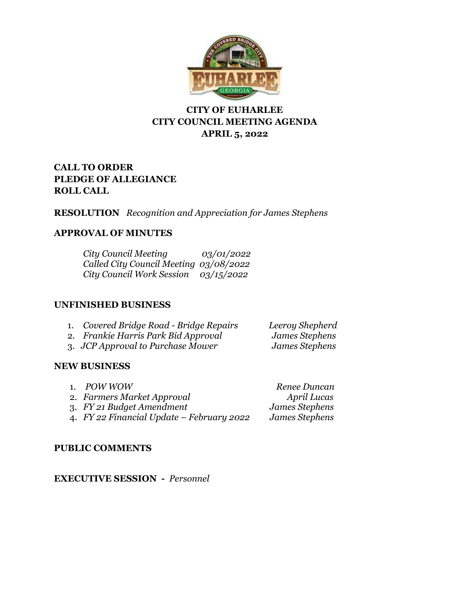

# **CITY OF EUHARLEE CITY COUNCIL MEETING AGENDA APRIL 5, 2022**

# **CALL TO ORDER PLEDGE OF ALLEGIANCE ROLL CALL**

# **RESOLUTION** *Recognition and Appreciation for James Stephens*

# **APPROVAL OF MINUTES**

*City Council Meeting 03/01/2022 Called City Council Meeting 03/08/2022 City Council Work Session 03/15/2022*

# **UNFINISHED BUSINESS**

| 1. Covered Bridge Road - Bridge Repairs | Leeroy Shepherd |
|-----------------------------------------|-----------------|
| 2. Frankie Harris Park Bid Approval     | James Stephens  |
| 3. JCP Approval to Purchase Mower       | James Stephens  |
| <b>NEW BUSINESS</b>                     |                 |

1. *POW WOW Renee Duncan*  2. *Farmers Market Approval April Lucas* 3. *FY 21 Budget Amendment James Stephens* 4. *FY 22 Financial Update – February 2022 James Stephens*

# **PUBLIC COMMENTS**

**EXECUTIVE SESSION -** *Personnel*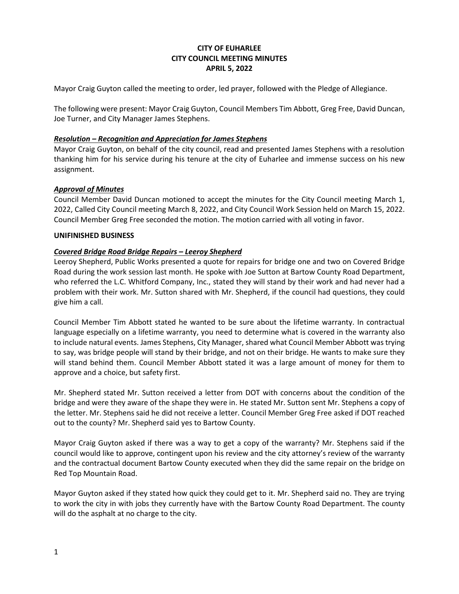### **CITY OF EUHARLEE CITY COUNCIL MEETING MINUTES APRIL 5, 2022**

Mayor Craig Guyton called the meeting to order, led prayer, followed with the Pledge of Allegiance.

The following were present: Mayor Craig Guyton, Council Members Tim Abbott, Greg Free, David Duncan, Joe Turner, and City Manager James Stephens.

#### *Resolution – Recognition and Appreciation for James Stephens*

Mayor Craig Guyton, on behalf of the city council, read and presented James Stephens with a resolution thanking him for his service during his tenure at the city of Euharlee and immense success on his new assignment.

#### *Approval of Minutes*

Council Member David Duncan motioned to accept the minutes for the City Council meeting March 1, 2022, Called City Council meeting March 8, 2022, and City Council Work Session held on March 15, 2022. Council Member Greg Free seconded the motion. The motion carried with all voting in favor.

#### **UNIFINISHED BUSINESS**

#### *Covered Bridge Road Bridge Repairs – Leeroy Shepherd*

Leeroy Shepherd, Public Works presented a quote for repairs for bridge one and two on Covered Bridge Road during the work session last month. He spoke with Joe Sutton at Bartow County Road Department, who referred the L.C. Whitford Company, Inc., stated they will stand by their work and had never had a problem with their work. Mr. Sutton shared with Mr. Shepherd, if the council had questions, they could give him a call.

Council Member Tim Abbott stated he wanted to be sure about the lifetime warranty. In contractual language especially on a lifetime warranty, you need to determine what is covered in the warranty also to include natural events. James Stephens, City Manager, shared what Council Member Abbott was trying to say, was bridge people will stand by their bridge, and not on their bridge. He wants to make sure they will stand behind them. Council Member Abbott stated it was a large amount of money for them to approve and a choice, but safety first.

Mr. Shepherd stated Mr. Sutton received a letter from DOT with concerns about the condition of the bridge and were they aware of the shape they were in. He stated Mr. Sutton sent Mr. Stephens a copy of the letter. Mr. Stephens said he did not receive a letter. Council Member Greg Free asked if DOT reached out to the county? Mr. Shepherd said yes to Bartow County.

Mayor Craig Guyton asked if there was a way to get a copy of the warranty? Mr. Stephens said if the council would like to approve, contingent upon his review and the city attorney's review of the warranty and the contractual document Bartow County executed when they did the same repair on the bridge on Red Top Mountain Road.

Mayor Guyton asked if they stated how quick they could get to it. Mr. Shepherd said no. They are trying to work the city in with jobs they currently have with the Bartow County Road Department. The county will do the asphalt at no charge to the city.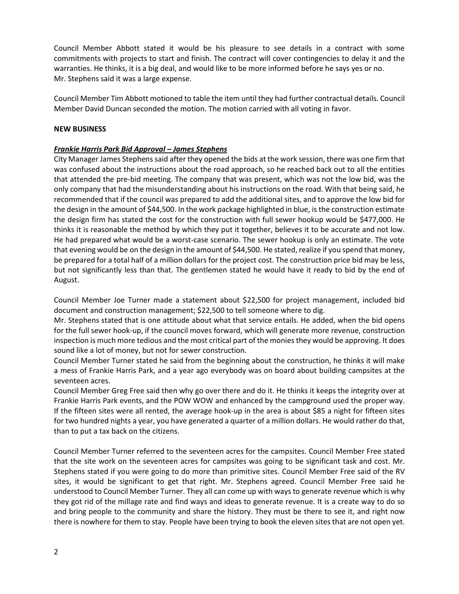Council Member Abbott stated it would be his pleasure to see details in a contract with some commitments with projects to start and finish. The contract will cover contingencies to delay it and the warranties. He thinks, it is a big deal, and would like to be more informed before he says yes or no. Mr. Stephens said it was a large expense.

Council Member Tim Abbott motioned to table the item until they had further contractual details. Council Member David Duncan seconded the motion. The motion carried with all voting in favor.

#### **NEW BUSINESS**

#### *Frankie Harris Park Bid Approval – James Stephens*

City Manager James Stephens said after they opened the bids at the work session, there was one firm that was confused about the instructions about the road approach, so he reached back out to all the entities that attended the pre-bid meeting. The company that was present, which was not the low bid, was the only company that had the misunderstanding about his instructions on the road. With that being said, he recommended that if the council was prepared to add the additional sites, and to approve the low bid for the design in the amount of \$44,500. In the work package highlighted in blue, is the construction estimate the design firm has stated the cost for the construction with full sewer hookup would be \$477,000. He thinks it is reasonable the method by which they put it together, believes it to be accurate and not low. He had prepared what would be a worst-case scenario. The sewer hookup is only an estimate. The vote that evening would be on the design in the amount of \$44,500. He stated, realize if you spend that money, be prepared for a total half of a million dollars for the project cost. The construction price bid may be less, but not significantly less than that. The gentlemen stated he would have it ready to bid by the end of August.

Council Member Joe Turner made a statement about \$22,500 for project management, included bid document and construction management; \$22,500 to tell someone where to dig.

Mr. Stephens stated that is one attitude about what that service entails. He added, when the bid opens for the full sewer hook-up, if the council moves forward, which will generate more revenue, construction inspection is much more tedious and the most critical part of the monies they would be approving. It does sound like a lot of money, but not for sewer construction.

Council Member Turner stated he said from the beginning about the construction, he thinks it will make a mess of Frankie Harris Park, and a year ago everybody was on board about building campsites at the seventeen acres.

Council Member Greg Free said then why go over there and do it. He thinks it keeps the integrity over at Frankie Harris Park events, and the POW WOW and enhanced by the campground used the proper way. If the fifteen sites were all rented, the average hook-up in the area is about \$85 a night for fifteen sites for two hundred nights a year, you have generated a quarter of a million dollars. He would rather do that, than to put a tax back on the citizens.

Council Member Turner referred to the seventeen acres for the campsites. Council Member Free stated that the site work on the seventeen acres for campsites was going to be significant task and cost. Mr. Stephens stated if you were going to do more than primitive sites. Council Member Free said of the RV sites, it would be significant to get that right. Mr. Stephens agreed. Council Member Free said he understood to Council Member Turner. They all can come up with ways to generate revenue which is why they got rid of the millage rate and find ways and ideas to generate revenue. It is a create way to do so and bring people to the community and share the history. They must be there to see it, and right now there is nowhere for them to stay. People have been trying to book the eleven sites that are not open yet.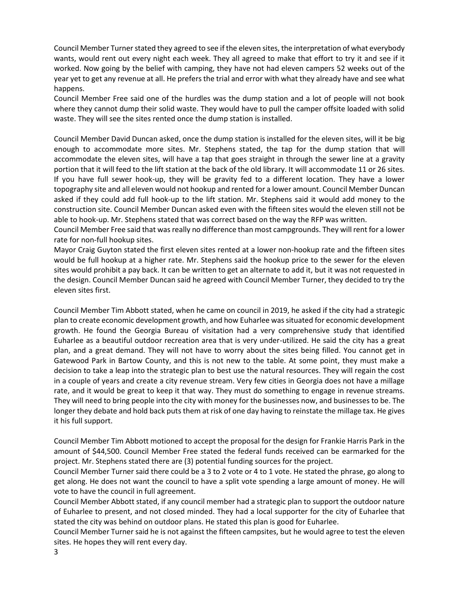Council Member Turner stated they agreed to see if the eleven sites, the interpretation of what everybody wants, would rent out every night each week. They all agreed to make that effort to try it and see if it worked. Now going by the belief with camping, they have not had eleven campers 52 weeks out of the year yet to get any revenue at all. He prefers the trial and error with what they already have and see what happens.

Council Member Free said one of the hurdles was the dump station and a lot of people will not book where they cannot dump their solid waste. They would have to pull the camper offsite loaded with solid waste. They will see the sites rented once the dump station is installed.

Council Member David Duncan asked, once the dump station is installed for the eleven sites, will it be big enough to accommodate more sites. Mr. Stephens stated, the tap for the dump station that will accommodate the eleven sites, will have a tap that goes straight in through the sewer line at a gravity portion that it will feed to the lift station at the back of the old library. It will accommodate 11 or 26 sites. If you have full sewer hook-up, they will be gravity fed to a different location. They have a lower topography site and all eleven would not hookup and rented for a lower amount. Council Member Duncan asked if they could add full hook-up to the lift station. Mr. Stephens said it would add money to the construction site. Council Member Duncan asked even with the fifteen sites would the eleven still not be able to hook-up. Mr. Stephens stated that was correct based on the way the RFP was written.

Council Member Free said that was really no difference than most campgrounds. They will rent for a lower rate for non-full hookup sites.

Mayor Craig Guyton stated the first eleven sites rented at a lower non-hookup rate and the fifteen sites would be full hookup at a higher rate. Mr. Stephens said the hookup price to the sewer for the eleven sites would prohibit a pay back. It can be written to get an alternate to add it, but it was not requested in the design. Council Member Duncan said he agreed with Council Member Turner, they decided to try the eleven sites first.

Council Member Tim Abbott stated, when he came on council in 2019, he asked if the city had a strategic plan to create economic development growth, and how Euharlee was situated for economic development growth. He found the Georgia Bureau of visitation had a very comprehensive study that identified Euharlee as a beautiful outdoor recreation area that is very under-utilized. He said the city has a great plan, and a great demand. They will not have to worry about the sites being filled. You cannot get in Gatewood Park in Bartow County, and this is not new to the table. At some point, they must make a decision to take a leap into the strategic plan to best use the natural resources. They will regain the cost in a couple of years and create a city revenue stream. Very few cities in Georgia does not have a millage rate, and it would be great to keep it that way. They must do something to engage in revenue streams. They will need to bring people into the city with money for the businesses now, and businesses to be. The longer they debate and hold back puts them at risk of one day having to reinstate the millage tax. He gives it his full support.

Council Member Tim Abbott motioned to accept the proposal for the design for Frankie Harris Park in the amount of \$44,500. Council Member Free stated the federal funds received can be earmarked for the project. Mr. Stephens stated there are (3) potential funding sources for the project.

Council Member Turner said there could be a 3 to 2 vote or 4 to 1 vote. He stated the phrase, go along to get along. He does not want the council to have a split vote spending a large amount of money. He will vote to have the council in full agreement.

Council Member Abbott stated, if any council member had a strategic plan to support the outdoor nature of Euharlee to present, and not closed minded. They had a local supporter for the city of Euharlee that stated the city was behind on outdoor plans. He stated this plan is good for Euharlee.

Council Member Turner said he is not against the fifteen campsites, but he would agree to test the eleven sites. He hopes they will rent every day.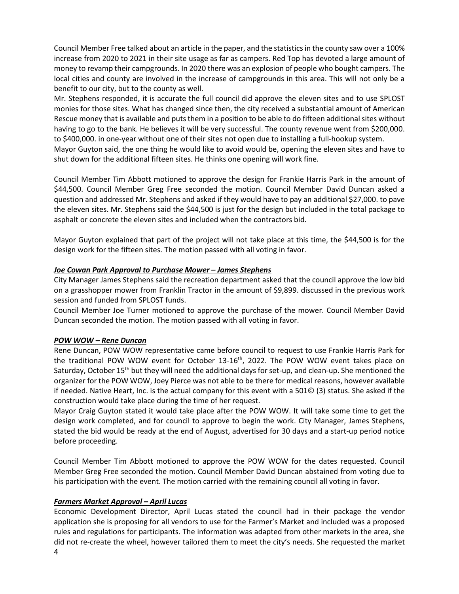Council Member Free talked about an article in the paper, and the statistics in the county saw over a 100% increase from 2020 to 2021 in their site usage as far as campers. Red Top has devoted a large amount of money to revamp their campgrounds. In 2020 there was an explosion of people who bought campers. The local cities and county are involved in the increase of campgrounds in this area. This will not only be a benefit to our city, but to the county as well.

Mr. Stephens responded, it is accurate the full council did approve the eleven sites and to use SPLOST monies for those sites. What has changed since then, the city received a substantial amount of American Rescue money that is available and puts them in a position to be able to do fifteen additional sites without having to go to the bank. He believes it will be very successful. The county revenue went from \$200,000. to \$400,000. in one-year without one of their sites not open due to installing a full-hookup system. Mayor Guyton said, the one thing he would like to avoid would be, opening the eleven sites and have to shut down for the additional fifteen sites. He thinks one opening will work fine.

Council Member Tim Abbott motioned to approve the design for Frankie Harris Park in the amount of \$44,500. Council Member Greg Free seconded the motion. Council Member David Duncan asked a question and addressed Mr. Stephens and asked if they would have to pay an additional \$27,000. to pave the eleven sites. Mr. Stephens said the \$44,500 is just for the design but included in the total package to asphalt or concrete the eleven sites and included when the contractors bid.

Mayor Guyton explained that part of the project will not take place at this time, the \$44,500 is for the design work for the fifteen sites. The motion passed with all voting in favor.

### *Joe Cowan Park Approval to Purchase Mower – James Stephens*

City Manager James Stephens said the recreation department asked that the council approve the low bid on a grasshopper mower from Franklin Tractor in the amount of \$9,899. discussed in the previous work session and funded from SPLOST funds.

Council Member Joe Turner motioned to approve the purchase of the mower. Council Member David Duncan seconded the motion. The motion passed with all voting in favor.

#### *POW WOW – Rene Duncan*

Rene Duncan, POW WOW representative came before council to request to use Frankie Harris Park for the traditional POW WOW event for October 13-16<sup>th</sup>, 2022. The POW WOW event takes place on Saturday, October 15<sup>th</sup> but they will need the additional days for set-up, and clean-up. She mentioned the organizer for the POW WOW, Joey Pierce was not able to be there for medical reasons, however available if needed. Native Heart, Inc. is the actual company for this event with a 501© (3) status. She asked if the construction would take place during the time of her request.

Mayor Craig Guyton stated it would take place after the POW WOW. It will take some time to get the design work completed, and for council to approve to begin the work. City Manager, James Stephens, stated the bid would be ready at the end of August, advertised for 30 days and a start-up period notice before proceeding.

Council Member Tim Abbott motioned to approve the POW WOW for the dates requested. Council Member Greg Free seconded the motion. Council Member David Duncan abstained from voting due to his participation with the event. The motion carried with the remaining council all voting in favor.

#### *Farmers Market Approval – April Lucas*

Economic Development Director, April Lucas stated the council had in their package the vendor application she is proposing for all vendors to use for the Farmer's Market and included was a proposed rules and regulations for participants. The information was adapted from other markets in the area, she did not re-create the wheel, however tailored them to meet the city's needs. She requested the market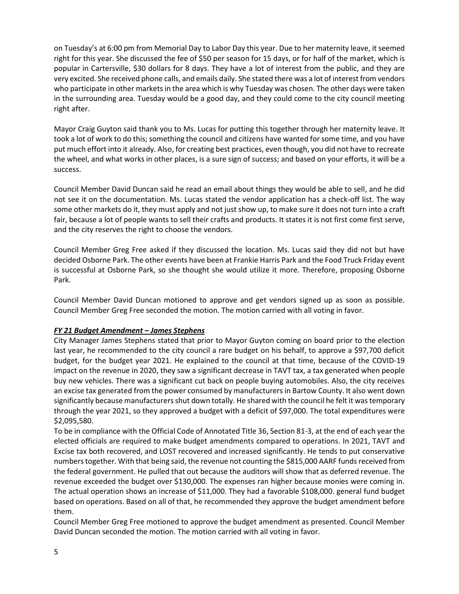on Tuesday's at 6:00 pm from Memorial Day to Labor Day this year. Due to her maternity leave, it seemed right for this year. She discussed the fee of \$50 per season for 15 days, or for half of the market, which is popular in Cartersville, \$30 dollars for 8 days. They have a lot of interest from the public, and they are very excited. She received phone calls, and emails daily. She stated there was a lot of interest from vendors who participate in other markets in the area which is why Tuesday was chosen. The other days were taken in the surrounding area. Tuesday would be a good day, and they could come to the city council meeting right after.

Mayor Craig Guyton said thank you to Ms. Lucas for putting this together through her maternity leave. It took a lot of work to do this; something the council and citizens have wanted for some time, and you have put much effort into it already. Also, for creating best practices, even though, you did not have to recreate the wheel, and what works in other places, is a sure sign of success; and based on your efforts, it will be a success.

Council Member David Duncan said he read an email about things they would be able to sell, and he did not see it on the documentation. Ms. Lucas stated the vendor application has a check-off list. The way some other markets do it, they must apply and not just show up, to make sure it does not turn into a craft fair, because a lot of people wants to sell their crafts and products. It states it is not first come first serve, and the city reserves the right to choose the vendors.

Council Member Greg Free asked if they discussed the location. Ms. Lucas said they did not but have decided Osborne Park. The other events have been at Frankie Harris Park and the Food Truck Friday event is successful at Osborne Park, so she thought she would utilize it more. Therefore, proposing Osborne Park.

Council Member David Duncan motioned to approve and get vendors signed up as soon as possible. Council Member Greg Free seconded the motion. The motion carried with all voting in favor.

### *FY 21 Budget Amendment – James Stephens*

City Manager James Stephens stated that prior to Mayor Guyton coming on board prior to the election last year, he recommended to the city council a rare budget on his behalf, to approve a \$97,700 deficit budget, for the budget year 2021. He explained to the council at that time, because of the COVID-19 impact on the revenue in 2020, they saw a significant decrease in TAVT tax, a tax generated when people buy new vehicles. There was a significant cut back on people buying automobiles. Also, the city receives an excise tax generated from the power consumed by manufacturers in Bartow County. It also went down significantly because manufacturers shut down totally. He shared with the council he felt it was temporary through the year 2021, so they approved a budget with a deficit of \$97,000. The total expenditures were \$2,095,580.

To be in compliance with the Official Code of Annotated Title 36, Section 81-3, at the end of each year the elected officials are required to make budget amendments compared to operations. In 2021, TAVT and Excise tax both recovered, and LOST recovered and increased significantly. He tends to put conservative numbers together. With that being said, the revenue not counting the \$815,000 AARF funds received from the federal government. He pulled that out because the auditors will show that as deferred revenue. The revenue exceeded the budget over \$130,000. The expenses ran higher because monies were coming in. The actual operation shows an increase of \$11,000. They had a favorable \$108,000. general fund budget based on operations. Based on all of that, he recommended they approve the budget amendment before them.

Council Member Greg Free motioned to approve the budget amendment as presented. Council Member David Duncan seconded the motion. The motion carried with all voting in favor.